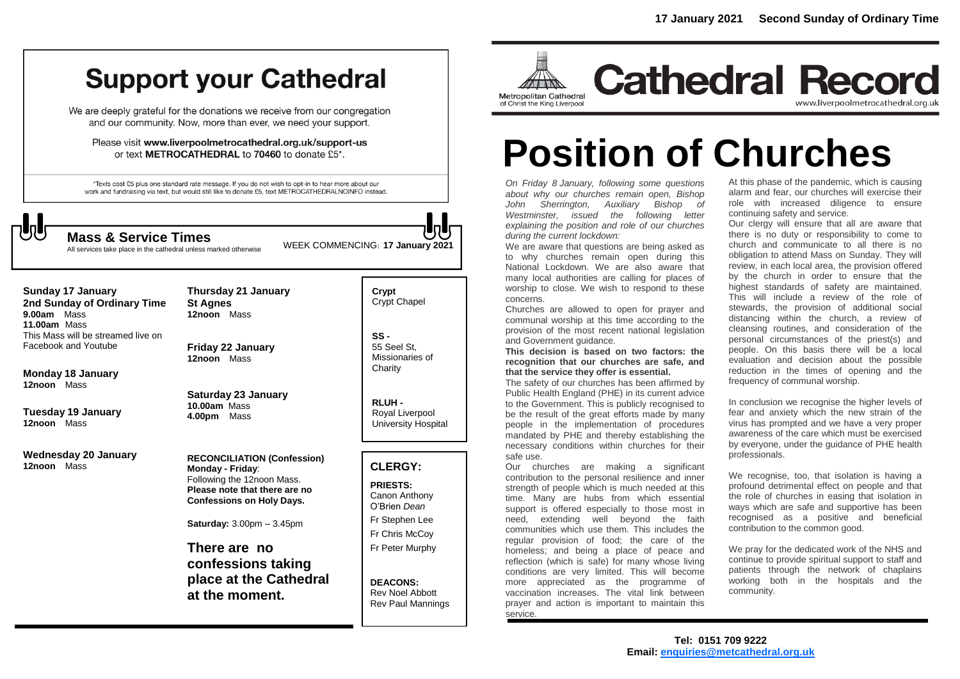## **Support your Cathedral**

We are deeply grateful for the donations we receive from our congregation and our community. Now, more than ever, we need your support.

Please visit www.liverpoolmetrocathedral.org.uk/support-us or text METROCATHEDRAL to 70460 to donate £5\*.

\*Texts cost £5 plus one standard rate message. If you do not wish to opt-in to hear more about our work and fundraising via text, but would still like to donate £5, text METROCATHEDRALNOINFO instead.



All services take place in the cathedral unless marked otherwise

WEEK COMMENCING: **<sup>17</sup> January 2021 Mass & Service Times**

**Sunday 17 January 2nd Sunday of Ordinary Time 9.00am** Mass **11.00am** Mass This Mass will be streamed live on Facebook and Youtube

**Monday 18 January 12noon** Mass

**Tuesday 19 January 12noon** Mass

**Wednesday 20 January 12noon** Mass

**St Agnes 12noon** Mass

**Friday 22 January 12noon** Mass

**Thursday 21 January** 

**Saturday 23 January 10.00am** Mass **4.00pm** Mass

**RECONCILIATION (Confession) Monday - Friday**: Following the 12noon Mass. **Please note that there are no Confessions on Holy Days.**

**Saturday:** 3.00pm – 3.45pm

**There are no confessions taking place at the Cathedral at the moment.**

**Crypt**  Crypt Chapel

**SS -** 55 Seel St, Missionaries of **Charity** 

**RLUH -** Royal Liverpool University Hospital

#### **CLERGY:**

**PRIESTS:** Canon Anthony O'Brien *Dean* Fr Stephen Lee Fr Chris McCoy Fr Peter Murphy

**DEACONS:** Rev Noel Abbott Rev Paul Mannings



**Cathedral Record** www.liverpoolmetrocathedral.org.uk

# **Position of Churches**

*On Friday 8 January, following some questions about why our churches remain open, Bishop John Sherrington, Auxiliary Bishop of Westminster, issued the following letter explaining the position and role of our churches during the current lockdown:*

We are aware that questions are being asked as to why churches remain open during this National Lockdown. We are also aware that many local authorities are calling for places of worship to close. We wish to respond to these concerns.

Churches are allowed to open for prayer and communal worship at this time according to the provision of the most recent national legislation and Government guidance.

**This decision is based on two factors: the recognition that our churches are safe, and that the service they offer is essential.**

The safety of our churches has been affirmed by Public Health England (PHE) in its current advice to the Government. This is publicly recognised to be the result of the great efforts made by many people in the implementation of procedures mandated by PHE and thereby establishing the necessary conditions within churches for their safe use.

Our churches are making a significant contribution to the personal resilience and inner strength of people which is much needed at this time. Many are hubs from which essential support is offered especially to those most in need, extending well beyond the faith communities which use them. This includes the regular provision of food; the care of the homeless; and being a place of peace and reflection (which is safe) for many whose living conditions are very limited. This will become more appreciated as the programme of vaccination increases. The vital link between prayer and action is important to maintain this service.

At this phase of the pandemic, which is causing alarm and fear, our churches will exercise their role with increased diligence to ensure continuing safety and service.

Our clergy will ensure that all are aware that there is no duty or responsibility to come to church and communicate to all there is no obligation to attend Mass on Sunday. They will review, in each local area, the provision offered by the church in order to ensure that the highest standards of safety are maintained. This will include a review of the role of stewards, the provision of additional social distancing within the church, a review of cleansing routines, and consideration of the personal circumstances of the priest(s) and people. On this basis there will be a local evaluation and decision about the possible reduction in the times of opening and the frequency of communal worship.

In conclusion we recognise the higher levels of fear and anxiety which the new strain of the virus has prompted and we have a very proper awareness of the care which must be exercised by everyone, under the guidance of PHE health professionals.

We recognise, too, that isolation is having a profound detrimental effect on people and that the role of churches in easing that isolation in ways which are safe and supportive has been recognised as a positive and beneficial contribution to the common good.

We pray for the dedicated work of the NHS and continue to provide spiritual support to staff and patients through the network of chaplains working both in the hospitals and the community.